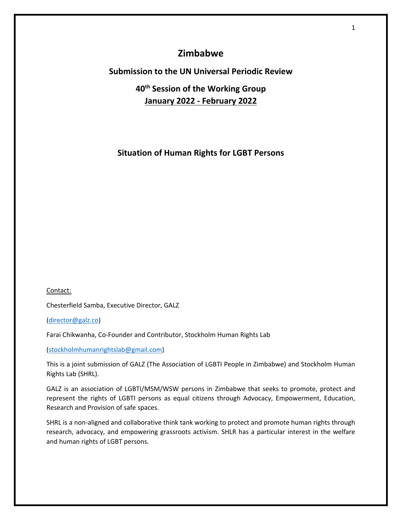# **Zimbabwe**

# **Submission to the UN Universal Periodic Review**

# **40th Session of the Working Group January 2022 - February 2022**

# **Situation of Human Rights for LGBT Persons**

Contact:

Chesterfield Samba, Executive Director, GALZ

([director@galz.co](mailto:director@galz.co))

Farai Chikwanha, Co-Founder and Contributor, Stockholm Human Rights Lab

([stockholmhumanrightslab@gmail.com](mailto:stockholmhumanrightslab@gmail.com))

This is <sup>a</sup> joint submission of GALZ (The Association of LGBTI People in Zimbabwe) and Stockholm Human Rights Lab (SHRL).

GALZ is an association of LGBTI/MSM/WSW persons in Zimbabwe that seeks to promote, protect and represent the rights of LGBTI persons as equal citizens through Advocacy, Empowerment, Education, Research and Provision of safe spaces.

SHRL is <sup>a</sup> non-aligned and collaborative think tank working to protect and promote human rights through research, advocacy, and empowering grassroots activism. SHLR has <sup>a</sup> particular interest in the welfare and human rights of LGBT persons.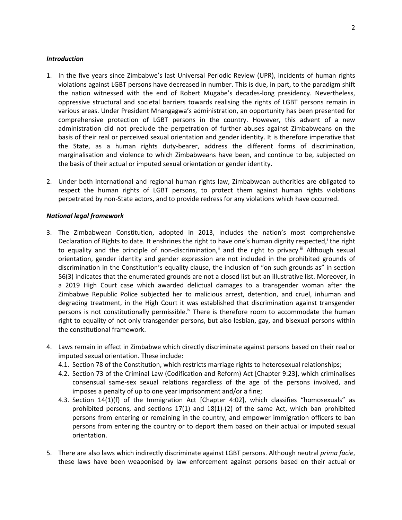#### *Introduction*

- 1. In the five years since Zimbabwe'<sup>s</sup> last Universal Periodic Review (UPR), incidents of human rights violations against LGBT persons have decreased in number. This is due, in part, to the paradigm shift the nation witnessed with the end of Robert Mugabe'<sup>s</sup> decades-long presidency. Nevertheless, oppressive structural and societal barriers towards realising the rights of LGBT persons remain in various areas. Under President Mnangagwa'<sup>s</sup> administration, an opportunity has been presented for comprehensive protection of LGBT persons in the country. However, this advent of <sup>a</sup> new administration did not preclude the perpetration of further abuses against Zimbabweans on the basis of their real or perceived sexual orientation and gender identity. It is therefore imperative that the State, as <sup>a</sup> human rights duty-bearer, address the different forms of discrimination, marginalisation and violence to which Zimbabweans have been, and continue to be, subjected on the basis of their actual or imputed sexual orientation or gender identity.
- 2. Under both international and regional human rights law, Zimbabwean authorities are obligated to respect the human rights of LGBT persons, to protect them against human rights violations perpetrated by non-State actors, and to provide redress for any violations which have occurred.

#### *National legal framework*

- 3. The Zimbabwean Constitution, adopted in 2013, includes the nation'<sup>s</sup> most comprehensive Declaration of Rights to date. It enshrines the right to have one's human dignity respected,<sup>i</sup> the right to equality and the principle of non-discrimination," and the right to privacy." Although sexual orientation, gender identity and gender expression are not included in the prohibited grounds of discrimination in the Constitution'<sup>s</sup> equality clause, the inclusion of "on such grounds as" in section 56(3) indicates that the enumerated grounds are not <sup>a</sup> closed list but an illustrative list. Moreover, in <sup>a</sup> 2019 High Court case which awarded delictual damages to <sup>a</sup> transgender woman after the Zimbabwe Republic Police subjected her to malicious arrest, detention, and cruel, inhuman and degrading treatment, in the High Court it was established that discrimination against transgender persons is not constitutionally permissible.<sup>iv</sup> There is therefore room to accommodate the human right to equality of not only transgender persons, but also lesbian, gay, and bisexual persons within the constitutional framework.
- 4. Laws remain in effect in Zimbabwe which directly discriminate against persons based on their real or imputed sexual orientation. These include:
	- 4.1. Section 78 of the Constitution, which restricts marriage rights to heterosexual relationships;
	- 4.2. Section 73 of the Criminal Law (Codification and Reform) Act [Chapter 9:23], which criminalises consensual same-sex sexual relations regardless of the age of the persons involved, and imposes <sup>a</sup> penalty of up to one year imprisonment and/or <sup>a</sup> fine;
	- 4.3. Section 14(1)(f) of the Immigration Act [Chapter 4:02], which classifies "homosexuals" as prohibited persons, and sections 17(1) and 18(1)-(2) of the same Act, which ban prohibited persons from entering or remaining in the country, and empower immigration officers to ban persons from entering the country or to deport them based on their actual or imputed sexual orientation.
- 5. There are also laws which indirectly discriminate against LGBT persons. Although neutral *prima facie*, these laws have been weaponised by law enforcement against persons based on their actual or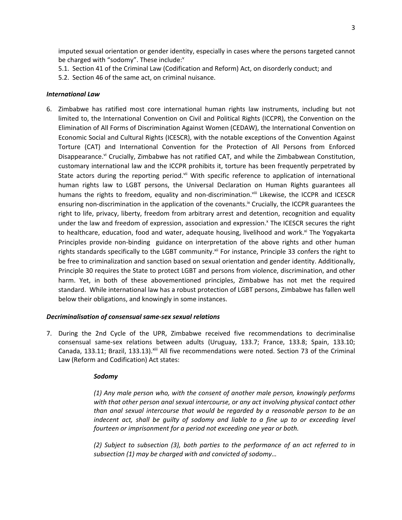imputed sexual orientation or gender identity, especially in cases where the persons targeted cannot be charged with "sodomy". These include:<sup>v</sup>

5.1. Section 41 of the Criminal Law (Codification and Reform) Act, on disorderly conduct; and

5.2. Section 46 of the same act, on criminal nuisance.

# *International Law*

6. Zimbabwe has ratified most core international human rights law instruments, including but not limited to, the International Convention on Civil and Political Rights (ICCPR), the Convention on the Elimination of All Forms of Discrimination Against Women (CEDAW), the International Convention on Economic Social and Cultural Rights (ICESCR), with the notable exceptions of the Convention Against Torture (CAT) and International Convention for the Protection of All Persons from Enforced Disappearance.<sup>vi</sup> Crucially, Zimbabwe has not ratified CAT, and while the Zimbabwean Constitution, customary international law and the ICCPR prohibits it, torture has been frequently perpetrated by State actors during the reporting period.<sup>vii</sup> With specific reference to application of international human rights law to LGBT persons, the Universal Declaration on Human Rights guarantees all humans the rights to freedom, equality and non-discrimination.<sup>viii</sup> Likewise, the ICCPR and ICESCR ensuring non-discrimination in the application of the covenants.<sup>ix</sup> Crucially, the ICCPR guarantees the right to life, privacy, liberty, freedom from arbitrary arrest and detention, recognition and equality under the law and freedom of expression, association and expression.<sup>x</sup> The ICESCR secures the right to healthcare, education, food and water, adequate housing, livelihood and work.<sup>xi</sup> The Yogyakarta Principles provide non-binding guidance on interpretation of the above rights and other human rights standards specifically to the LGBT community.<sup>xii</sup> For instance, Principle 33 confers the right to be free to criminalization and sanction based on sexual orientation and gender identity. Additionally, Principle 30 requires the State to protect LGBT and persons from violence, discrimination, and other harm. Yet, in both of these abovementioned principles, Zimbabwe has not met the required standard. While international law has <sup>a</sup> robust protection of LGBT persons, Zimbabwe has fallen well below their obligations, and knowingly in some instances.

# *Decriminalisation of consensual same-sex sexual relations*

7. During the 2nd Cycle of the UPR, Zimbabwe received five recommendations to decriminalise consensual same-sex relations between adults (Uruguay, 133.7; France, 133.8; Spain, 133.10; Canada, 133.11; Brazil, 133.13).<sup>xiii</sup> All five recommendations were noted. Section 73 of the Criminal Law (Reform and Codification) Act states:

# *Sodomy*

*(1) Any male person who, with the consent of another male person, knowingly performs with that other person anal sexual intercourse, or any act involving physical contact other than anal sexual intercourse that would be regarded by <sup>a</sup> reasonable person to be an indecent act, shall be guilty of sodomy and liable to <sup>a</sup> fine up to or exceeding level fourteen or imprisonment for <sup>a</sup> period not exceeding one year or both.*

*(2) Subject to subsection (3), both parties to the performance of an act referred to in subsection (1) may be charged with and convicted of sodomy…*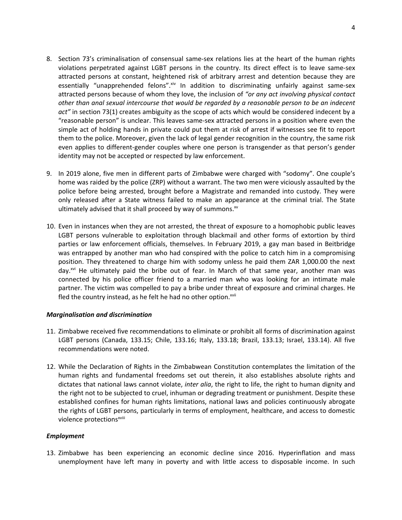- 8. Section 73'<sup>s</sup> criminalisation of consensual same-sex relations lies at the heart of the human rights violations perpetrated against LGBT persons in the country. Its direct effect is to leave same-sex attracted persons at constant, heightened risk of arbitrary arrest and detention because they are essentially "unapprehended felons".<sup>xiv</sup> In addition to discriminating unfairly against same-sex attracted persons because of whom they love, the inclusion of *"or any act involving physical contact other than anal sexual intercourse that would be regarded by <sup>a</sup> reasonable person to be an indecent act"* in section 73(1) creates ambiguity as the scope of acts which would be considered indecent by <sup>a</sup> "reasonable person" is unclear. This leaves same-sex attracted persons in <sup>a</sup> position where even the simple act of holding hands in private could put them at risk of arrest if witnesses see fit to report them to the police. Moreover, given the lack of legal gender recognition in the country, the same risk even applies to different-gender couples where one person is transgender as that person'<sup>s</sup> gender identity may not be accepted or respected by law enforcement.
- 9. In 2019 alone, five men in different parts of Zimbabwe were charged with "sodomy". One couple'<sup>s</sup> home was raided by the police (ZRP) without <sup>a</sup> warrant. The two men were viciously assaulted by the police before being arrested, brought before <sup>a</sup> Magistrate and remanded into custody. They were only released after <sup>a</sup> State witness failed to make an appearance at the criminal trial. The State ultimately advised that it shall proceed by way of summons.<sup>xv</sup>
- 10. Even in instances when they are not arrested, the threat of exposure to <sup>a</sup> homophobic public leaves LGBT persons vulnerable to exploitation through blackmail and other forms of extortion by third parties or law enforcement officials, themselves. In February 2019, <sup>a</sup> gay man based in Beitbridge was entrapped by another man who had conspired with the police to catch him in <sup>a</sup> compromising position. They threatened to charge him with sodomy unless he paid them ZAR 1,000.00 the next day.<sup>xvi</sup> He ultimately paid the bribe out of fear. In March of that same year, another man was connected by his police officer friend to <sup>a</sup> married man who was looking for an intimate male partner. The victim was compelled to pay <sup>a</sup> bribe under threat of exposure and criminal charges. He fled the country instead, as he felt he had no other option.<sup>xvii</sup>

# *Marginalisation and discrimination*

- 11. Zimbabwe received five recommendations to eliminate or prohibit all forms of discrimination against LGBT persons (Canada, 133.15; Chile, 133.16; Italy, 133.18; Brazil, 133.13; Israel, 133.14). All five recommendations were noted.
- 12. While the Declaration of Rights in the Zimbabwean Constitution contemplates the limitation of the human rights and fundamental freedoms set out therein, it also establishes absolute rights and dictates that national laws cannot violate, *inter alia*, the right to life, the right to human dignity and the right not to be subjected to cruel, inhuman or degrading treatment or punishment. Despite these established confines for human rights limitations, national laws and policies continuously abrogate the rights of LGBT persons, particularly in terms of employment, healthcare, and access to domestic violence protections<sup>xviii</sup>

#### *Employment*

13. Zimbabwe has been experiencing an economic decline since 2016. Hyperinflation and mass unemployment have left many in poverty and with little access to disposable income. In such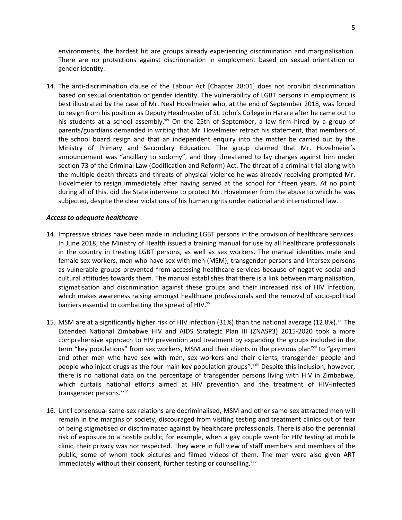environments, the hardest hit are groups already experiencing discrimination and marginalisation. There are no protections against discrimination in employment based on sexual orientation or gender identity.

14. The anti-discrimination clause of the Labour Act [Chapter 28:01] does not prohibit discrimination based on sexual orientation or gender identity. The vulnerability of LGBT persons in employment is best illustrated by the case of Mr. Neal Hovelmeier who, at the end of September 2018, was forced to resign from his position as Deputy Headmaster of St. John'<sup>s</sup> College in Harare after he came out to his students at a school assembly.<sup>xix</sup> On the 25th of September, a law firm hired by a group of parents/guardians demanded in writing that Mr. Hovelmeier retract his statement, that members of the school board resign and that an independent enquiry into the matter be carried out by the Ministry of Primary and Secondary Education. The group claimed that Mr. Hovelmeier'<sup>s</sup> announcement was "ancillary to sodomy", and they threatened to lay charges against him under section 73 of the Criminal Law (Codification and Reform) Act. The threat of <sup>a</sup> criminal trial along with the multiple death threats and threats of physical violence he was already receiving prompted Mr. Hovelmeier to resign immediately after having served at the school for fifteen years. At no point during all of this, did the State intervene to protect Mr. Hovelmeier from the abuse to which he was subjected, despite the clear violations of his human rights under national and international law.

# *Access to adequate healthcare*

- 14. Impressive strides have been made in including LGBT persons in the provision of healthcare services. In June 2018, the Ministry of Health issued <sup>a</sup> training manual for use by all healthcare professionals in the country in treating LGBT persons, as well as sex workers. The manual identities male and female sex workers, men who have sex with men (MSM), transgender persons and intersex persons as vulnerable groups prevented from accessing healthcare services because of negative social and cultural attitudes towards them. The manual establishes that there is <sup>a</sup> link between marginalisation, stigmatisation and discrimination against these groups and their increased risk of HIV infection, which makes awareness raising amongst healthcare professionals and the removal of socio-political barriers essential to combatting the spread of HIV.<sup>xx</sup>
- 15. MSM are at a significantly higher risk of HIV infection (31%) than the national average (12.8%).<sup>xxi</sup> The Extended National Zimbabwe HIV and AIDS Strategic Plan III (ZNASP3) 2015-2020 took <sup>a</sup> more comprehensive approach to HIV prevention and treatment by expanding the groups included in the term "key populations" from sex workers, MSM and their clients in the previous plan<sup>xxii</sup> to "gay men and other men who have sex with men, sex workers and their clients, transgender people and people who inject drugs as the four main key population groups".<sup>xxiii</sup> Despite this inclusion, however, there is no national data on the percentage of transgender persons living with HIV in Zimbabwe, which curtails national efforts aimed at HIV prevention and the treatment of HIV-infected transgender persons.<sup>xxiv</sup>
- 16. Until consensual same-sex relations are decriminalised, MSM and other same-sex attracted men will remain in the margins of society, discouraged from visiting testing and treatment clinics out of fear of being stigmatised or discriminated against by healthcare professionals. There is also the perennial risk of exposure to <sup>a</sup> hostile public, for example, when <sup>a</sup> gay couple went for HIV testing at mobile clinic, their privacy was not respected. They were in full view of staff members and members of the public, some of whom took pictures and filmed videos of them. The men were also given ART immediately without their consent, further testing or counselling.<sup>xxv</sup>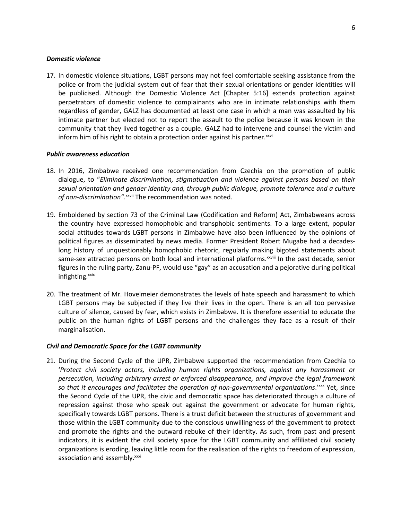#### *Domestic violence*

17. In domestic violence situations, LGBT persons may not feel comfortable seeking assistance from the police or from the judicial system out of fear that their sexual orientations or gender identities will be publicised. Although the Domestic Violence Act [Chapter 5:16] extends protection against perpetrators of domestic violence to complainants who are in intimate relationships with them regardless of gender, GALZ has documented at least one case in which <sup>a</sup> man was assaulted by his intimate partner but elected not to report the assault to the police because it was known in the community that they lived together as <sup>a</sup> couple. GALZ had to intervene and counsel the victim and inform him of his right to obtain a protection order against his partner.<sup>xxvi</sup>

# *Public awareness education*

- 18. In 2016, Zimbabwe received one recommendation from Czechia on the promotion of public dialogue, to "*Eliminate discrimination, stigmatization and violence against persons based on their sexual orientation and gender identity and, through public dialogue, promote tolerance and <sup>a</sup> culture of non-discrimination"*. xxvii The recommendation was noted.
- 19. Emboldened by section 73 of the Criminal Law (Codification and Reform) Act, Zimbabweans across the country have expressed homophobic and transphobic sentiments. To <sup>a</sup> large extent, popular social attitudes towards LGBT persons in Zimbabwe have also been influenced by the opinions of political figures as disseminated by news media. Former President Robert Mugabe had <sup>a</sup> decadeslong history of unquestionably homophobic rhetoric, regularly making bigoted statements about same-sex attracted persons on both local and international platforms.<sup>xxviii</sup> In the past decade, senior figures in the ruling party, Zanu-PF, would use "gay" as an accusation and <sup>a</sup> pejorative during political infighting.<sup>xxix</sup>
- 20. The treatment of Mr. Hovelmeier demonstrates the levels of hate speech and harassment to which LGBT persons may be subjected if they live their lives in the open. There is an all too pervasive culture of silence, caused by fear, which exists in Zimbabwe. It is therefore essential to educate the public on the human rights of LGBT persons and the challenges they face as <sup>a</sup> result of their marginalisation.

# *Civil and Democratic Space for the LGBT community*

21. During the Second Cycle of the UPR, Zimbabwe supported the recommendation from Czechia to '*Protect civil society actors, including human rights organizations, against any harassment or persecution, including arbitrary arrest or enforced disappearance, and improve the legal framework so that it encourages and facilitates the operation of non-governmental organizations*.' xxx Yet, since the Second Cycle of the UPR, the civic and democratic space has deteriorated through <sup>a</sup> culture of repression against those who speak out against the government or advocate for human rights, specifically towards LGBT persons. There is <sup>a</sup> trust deficit between the structures of government and those within the LGBT community due to the conscious unwillingness of the government to protect and promote the rights and the outward rebuke of their identity. As such, from past and present indicators, it is evident the civil society space for the LGBT community and affiliated civil society organizations is eroding, leaving little room for the realisation of the rights to freedom of expression, association and assembly.<sup>xxxi</sup>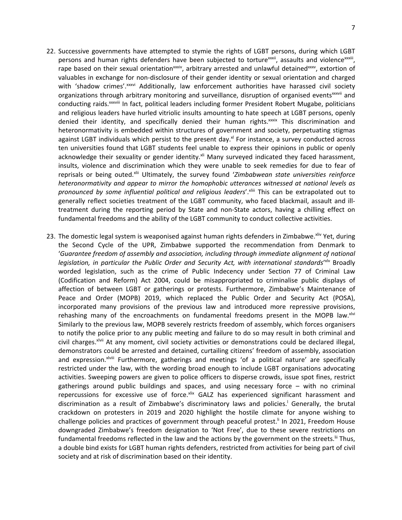- 22. Successive governments have attempted to stymie the rights of LGBT persons, during which LGBT persons and human rights defenders have been subjected to torture $^{\text{xxxi}}$ , assaults and violence $^{\text{xxxi}}$ rape based on their sexual orientation<sup>xxxiv</sup>, arbitrary arrested and unlawful detained<sup>xxxv</sup>, extortion of valuables in exchange for non-disclosure of their gender identity or sexual orientation and charged with 'shadow crimes'.<sup>xxxvi</sup> Additionally, law enforcement authorities have harassed civil society organizations through arbitrary monitoring and surveillance, disruption of organised events<sup>xxxvii</sup> and conducting raids.<sup>xxviii</sup> In fact, political leaders including former President Robert Mugabe, politicians and religious leaders have hurled vitriolic insults amounting to hate speech at LGBT persons, openly denied their identity, and specifically denied their human rights.<sup>xxxix</sup> This discrimination and heteronormativity is embedded within structures of government and society, perpetuating stigmas against LGBT individuals which persist to the present day.<sup>xl</sup> For instance, a survey conducted across ten universities found that LGBT students feel unable to express their opinions in public or openly acknowledge their sexuality or gender identity.<sup>xii</sup> Many surveyed indicated they faced harassment, insults, violence and discrimination which they were unable to seek remedies for due to fear of reprisals or being outed.<sup>xlii</sup> Ultimately, the survey found '*Zimbabwean state universities reinforce heteronormativity and appear to mirror the homophobic utterances witnessed at national levels as pronounced by some influential political and religious leaders*'. xliii This can be extrapolated out to generally reflect societies treatment of the LGBT community, who faced blackmail, assault and illtreatment during the reporting period by State and non-State actors, having <sup>a</sup> chilling effect on fundamental freedoms and the ability of the LGBT community to conduct collective activities.
- 23. The domestic legal system is weaponised against human rights defenders in Zimbabwe. XIIV Yet, during the Second Cycle of the UPR, Zimbabwe supported the recommendation from Denmark to '*Guarantee freedom of assembly and association, including through immediate alignment of national legislation, in particular the Public Order and Security Act, with international standards*' xlv Broadly worded legislation, such as the crime of Public Indecency under Section 77 of Criminal Law (Codification and Reform) Act 2004, could be misappropriated to criminalise public displays of affection of between LGBT or gatherings or protests. Furthermore, Zimbabwe'<sup>s</sup> Maintenance of Peace and Order (MOPB) 2019, which replaced the Public Order and Security Act (POSA), incorporated many provisions of the previous law and introduced more repressive provisions, rehashing many of the encroachments on fundamental freedoms present in the MOPB law.<sup>xivi</sup> Similarly to the previous law, MOPB severely restricts freedom of assembly, which forces organisers to notify the police prior to any public meeting and failure to do so may result in both criminal and civil charges.<sup>xivii</sup> At any moment, civil society activities or demonstrations could be declared illegal, demonstrators could be arrested and detained, curtailing citizens' freedom of assembly, association and expression.<sup>xlviii</sup> Furthermore, gatherings and meetings 'of a political nature' are specifically restricted under the law, with the wording broad enough to include LGBT organisations advocating activities. Sweeping powers are given to police officers to disperse crowds, issue spot fines, restrict gatherings around public buildings and spaces, and using necessary force – with no criminal repercussions for excessive use of force.<sup>xix</sup> GALZ has experienced significant harassment and discrimination as <sup>a</sup> result of Zimbabwe'<sup>s</sup> discriminatory laws and policies. l Generally, the brutal crackdown on protesters in 2019 and 2020 highlight the hostile climate for anyone wishing to challenge policies and practices of government through peaceful protest.<sup>II</sup> In 2021, Freedom House downgraded Zimbabwe'<sup>s</sup> freedom designation to 'Not Free', due to these severe restrictions on fundamental freedoms reflected in the law and the actions by the government on the streets.<sup>III</sup> Thus, <sup>a</sup> double bind exists for LGBT human rights defenders, restricted from activities for being part of civil society and at risk of discrimination based on their identity.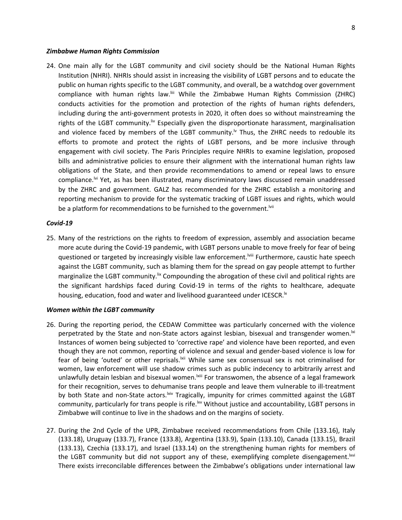#### *Zimbabwe Human Rights Commission*

24. One main ally for the LGBT community and civil society should be the National Human Rights Institution (NHRI). NHRIs should assist in increasing the visibility of LGBT persons and to educate the public on human rights specific to the LGBT community, and overall, be <sup>a</sup> watchdog over government compliance with human rights law.<sup>!ii</sup> While the Zimbabwe Human Rights Commission (ZHRC) conducts activities for the promotion and protection of the rights of human rights defenders, including during the anti-government protests in 2020, it often does so without mainstreaming the rights of the LGBT community.<sup>liv</sup> Especially given the disproportionate harassment, marginalisation and violence faced by members of the LGBT community.<sup>Iv</sup> Thus, the ZHRC needs to redouble its efforts to promote and protect the rights of LGBT persons, and be more inclusive through engagement with civil society. The Paris Principles require NHRIs to examine legislation, proposed bills and administrative policies to ensure their alignment with the international human rights law obligations of the State, and then provide recommendations to amend or repeal laws to ensure compliance.<sup>Ivi</sup> Yet, as has been illustrated, many discriminatory laws discussed remain unaddressed by the ZHRC and government. GALZ has recommended for the ZHRC establish <sup>a</sup> monitoring and reporting mechanism to provide for the systematic tracking of LGBT issues and rights, which would be a platform for recommendations to be furnished to the government.<sup>Ivii</sup>

#### *Covid-19*

25. Many of the restrictions on the rights to freedom of expression, assembly and association became more acute during the Covid-19 pandemic, with LGBT persons unable to move freely for fear of being questioned or targeted by increasingly visible law enforcement.<sup>Iviii</sup> Furthermore, caustic hate speech against the LGBT community, such as blaming them for the spread on gay people attempt to further marginalize the LGBT community.<sup>Iix</sup> Compounding the abrogation of these civil and political rights are the significant hardships faced during Covid-19 in terms of the rights to healthcare, adequate housing, education, food and water and livelihood guaranteed under ICESCR. $^{\text{tx}}$ 

#### *Women within the LGBT community*

- 26. During the reporting period, the CEDAW Committee was particularly concerned with the violence perpetrated by the State and non-State actors against lesbian, bisexual and transgender women.<sup>Ixi</sup> Instances of women being subjected to 'corrective rape' and violence have been reported, and even though they are not common, reporting of violence and sexual and gender-based violence is low for fear of being 'outed' or other reprisals.<sup>|xii</sup> While same sex consensual sex is not criminalised for women, law enforcement will use shadow crimes such as public indecency to arbitrarily arrest and unlawfully detain lesbian and bisexual women.<sup>kiii</sup> For transwomen, the absence of a legal framework for their recognition, serves to dehumanise trans people and leave them vulnerable to ill-treatment by both State and non-State actors. Kiv Tragically, impunity for crimes committed against the LGBT community, particularly for trans people is rife.<sup>|xv</sup> Without justice and accountability, LGBT persons in Zimbabwe will continue to live in the shadows and on the margins of society.
- 27. During the 2nd Cycle of the UPR, Zimbabwe received recommendations from Chile (133.16), Italy (133.18), Uruguay (133.7), France (133.8), Argentina (133.9), Spain (133.10), Canada (133.15), Brazil (133.13), Czechia (133.17), and Israel (133.14) on the strengthening human rights for members of the LGBT community but did not support any of these, exemplifying complete disengagement. Kxi There exists irreconcilable differences between the Zimbabwe'<sup>s</sup> obligations under international law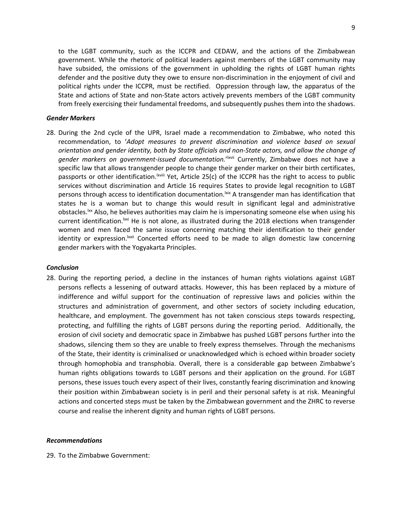to the LGBT community, such as the ICCPR and CEDAW, and the actions of the Zimbabwean government. While the rhetoric of political leaders against members of the LGBT community may have subsided, the omissions of the government in upholding the rights of LGBT human rights defender and the positive duty they owe to ensure non-discrimination in the enjoyment of civil and political rights under the ICCPR, must be rectified. Oppression through law, the apparatus of the State and actions of State and non-State actors actively prevents members of the LGBT community from freely exercising their fundamental freedoms, and subsequently pushes them into the shadows.

#### *Gender Markers*

28. During the 2nd cycle of the UPR, Israel made <sup>a</sup> recommendation to Zimbabwe, who noted this recommendation, to '*Adopt measures to prevent discrimination and violence based on sexual orientation and gender identity, both by State officials and non-State actors, and allow the change of* gender markers on government-issued documentation.'<sup>Ixvii</sup> Currently, Zimbabwe does not have a specific law that allows transgender people to change their gender marker on their birth certificates, passports or other identification. XVIII Yet, Article 25(c) of the ICCPR has the right to access to public services without discrimination and Article 16 requires States to provide legal recognition to LGBT persons through access to identification documentation.<sup>Ixix</sup> A transgender man has identification that states he is <sup>a</sup> woman but to change this would result in significant legal and administrative obstacles.<sup>|xx</sup> Also, he believes authorities may claim he is impersonating someone else when using his current identification.<sup>Ixxi</sup> He is not alone, as illustrated during the 2018 elections when transgender women and men faced the same issue concerning matching their identification to their gender identity or expression.<sup>|xxii</sup> Concerted efforts need to be made to align domestic law concerning gender markers with the Yogyakarta Principles.

#### *Conclusion*

28. During the reporting period, <sup>a</sup> decline in the instances of human rights violations against LGBT persons reflects <sup>a</sup> lessening of outward attacks. However, this has been replaced by <sup>a</sup> mixture of indifference and wilful support for the continuation of repressive laws and policies within the structures and administration of government, and other sectors of society including education, healthcare, and employment. The government has not taken conscious steps towards respecting, protecting, and fulfilling the rights of LGBT persons during the reporting period. Additionally, the erosion of civil society and democratic space in Zimbabwe has pushed LGBT persons further into the shadows, silencing them so they are unable to freely express themselves. Through the mechanisms of the State, their identity is criminalised or unacknowledged which is echoed within broader society through homophobia and transphobia. Overall, there is <sup>a</sup> considerable gap between Zimbabwe'<sup>s</sup> human rights obligations towards to LGBT persons and their application on the ground. For LGBT persons, these issues touch every aspect of their lives, constantly fearing discrimination and knowing their position within Zimbabwean society is in peril and their personal safety is at risk. Meaningful actions and concerted steps must be taken by the Zimbabwean government and the ZHRC to reverse course and realise the inherent dignity and human rights of LGBT persons.

# *Recommendations*

29. To the Zimbabwe Government: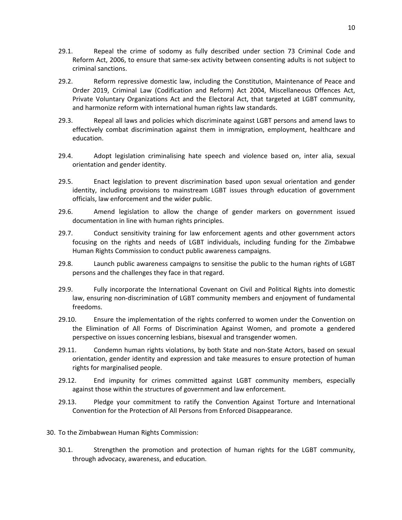- 29.1. Repeal the crime of sodomy as fully described under section 73 Criminal Code and Reform Act, 2006, to ensure that same-sex activity between consenting adults is not subject to criminal sanctions.
- 29.2. Reform repressive domestic law, including the Constitution, Maintenance of Peace and Order 2019, Criminal Law (Codification and Reform) Act 2004, Miscellaneous Offences Act, Private Voluntary Organizations Act and the Electoral Act, that targeted at LGBT community, and harmonize reform with international human rights law standards.
- 29.3. Repeal all laws and policies which discriminate against LGBT persons and amend laws to effectively combat discrimination against them in immigration, employment, healthcare and education.
- 29.4. Adopt legislation criminalising hate speech and violence based on, inter alia, sexual orientation and gender identity.
- 29.5. Enact legislation to prevent discrimination based upon sexual orientation and gender identity, including provisions to mainstream LGBT issues through education of government officials, law enforcement and the wider public.
- 29.6. Amend legislation to allow the change of gender markers on government issued documentation in line with human rights principles.
- 29.7. Conduct sensitivity training for law enforcement agents and other government actors focusing on the rights and needs of LGBT individuals, including funding for the Zimbabwe Human Rights Commission to conduct public awareness campaigns.
- 29.8. Launch public awareness campaigns to sensitise the public to the human rights of LGBT persons and the challenges they face in that regard.
- 29.9. Fully incorporate the International Covenant on Civil and Political Rights into domestic law, ensuring non-discrimination of LGBT community members and enjoyment of fundamental freedoms.
- 29.10. Ensure the implementation of the rights conferred to women under the Convention on the Elimination of All Forms of Discrimination Against Women, and promote <sup>a</sup> gendered perspective on issues concerning lesbians, bisexual and transgender women.
- 29.11. Condemn human rights violations, by both State and non-State Actors, based on sexual orientation, gender identity and expression and take measures to ensure protection of human rights for marginalised people.
- 29.12. End impunity for crimes committed against LGBT community members, especially against those within the structures of government and law enforcement.
- 29.13. Pledge your commitment to ratify the Convention Against Torture and International Convention for the Protection of All Persons from Enforced Disappearance.
- 30. To the Zimbabwean Human Rights Commission:
	- 30.1. Strengthen the promotion and protection of human rights for the LGBT community, through advocacy, awareness, and education.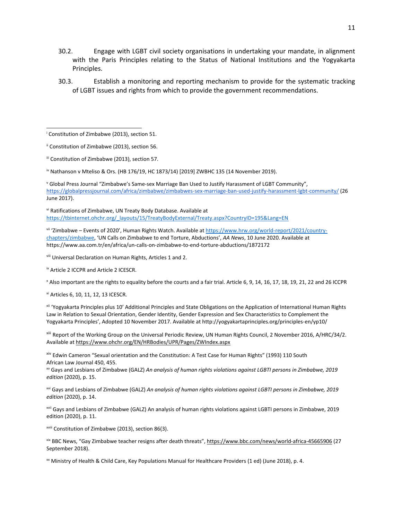- 30.2. Engage with LGBT civil society organisations in undertaking your mandate, in alignment with the Paris Principles relating to the Status of National Institutions and the Yogyakarta Principles.
- 30.3. Establish <sup>a</sup> monitoring and reporting mechanism to provide for the systematic tracking of LGBT issues and rights from which to provide the government recommendations.

iv Nathanson <sup>v</sup> Mteliso & Ors. (HB 176/19, HC 1873/14) [2019] ZWBHC 135 (14 November 2019).

v Global Press Journal "Zimbabwe'<sup>s</sup> Same-sex Marriage Ban Used to Justify Harassment of LGBT Community", <https://globalpressjournal.com/africa/zimbabwe/zimbabwes-sex-marriage-ban-used-justify-harassment-lgbt-community/> (26 June 2017).

vi Ratifications of Zimbabwe, UN Treaty Body Database. Available at [https://tbinternet.ohchr.org/\\_layouts/15/TreatyBodyExternal/Treaty.aspx?CountryID=195&Lang=EN](https://tbinternet.ohchr.org/_layouts/15/TreatyBodyExternal/Treaty.aspx?CountryID=195&Lang=EN)

vii 'Zimbabwe – Events of 2020', Human Rights Watch. Available at [https://www.hrw.org/world-report/2021/country](https://www.hrw.org/world-report/2021/country-chapters/zimbabwe)[chapters/zimbabwe,](https://www.hrw.org/world-report/2021/country-chapters/zimbabwe) 'UN Calls on Zimbabwe to end Torture, Abductions', *AA News*, 10 June 2020. Available at https://www.aa.com.tr/en/africa/un-calls-on-zimbabwe-to-end-torture-abductions/1872172

viii Universal Declaration on Human Rights, Articles 1 and 2.

<sup>ix</sup> Article 2 ICCPR and Article 2 ICESCR.

x Also important are the rights to equality before the courts and <sup>a</sup> fair trial. Article 6, 9, 14, 16, 17, 18, 19, 21, 22 and 26 ICCPR

xi Articles 6, 10, 11, 12, 13 ICESCR.

xii 'Yogyakarta Principles plus 10' Additional Principles and State Obligations on the Application of International Human Rights Law in Relation to Sexual Orientation, Gender Identity, Gender Expression and Sex Characteristics to Complement the Yogyakarta Principles', Adopted 10 November 2017. Available at http://yogyakartaprinciples.org/principles-en/yp10/

xiii Report of the Working Group on the Universal Periodic Review, UN Human Rights Council, 2 November 2016, A/HRC/34/2. Available at <https://www.ohchr.org/EN/HRBodies/UPR/Pages/ZWIndex.aspx>

<sup>xiv</sup> Edwin Cameron "Sexual orientation and the Constitution: A Test Case for Human Rights" (1993) 110 South African Law Journal 450, 455.

xv Gays and Lesbians of Zimbabwe (GALZ) *An analysis of human rights violations against LGBTI persons in Zimbabwe, 2019 edition* (2020), p. 15.

xvi Gays and Lesbians of Zimbabwe (GALZ) *An analysis of human rights violations against LGBTI persons in Zimbabwe, 2019 edition* (2020), p. 14.

<sup>xvii</sup> Gays and Lesbians of Zimbabwe (GALZ) An analysis of human rights violations against LGBTI persons in Zimbabwe, 2019 edition (2020), p. 11.

xviii Constitution of Zimbabwe (2013), section 86(3).

xix BBC News, "Gay Zimbabwe teacher resigns after death threats", <https://www.bbc.com/news/world-africa-45665906> (27 September 2018).

xx Ministry of Health & Child Care, Key Populations Manual for Healthcare Providers (1 ed) (June 2018), p. 4.

i Constitution of Zimbabwe (2013), section 51.

ii Constitution of Zimbabwe (2013), section 56.

III Constitution of Zimbabwe (2013), section 57.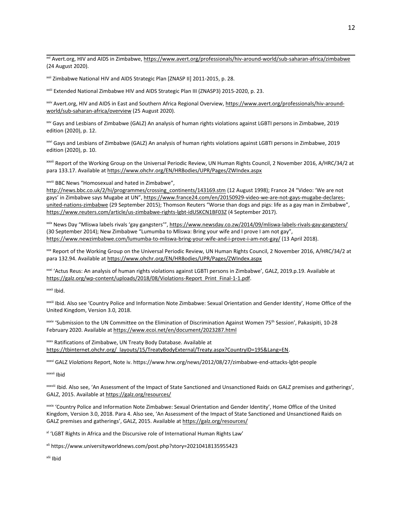<sup>xxi</sup> Avert.org, HIV and AIDS in Zimbabwe, <u><https://www.avert.org/professionals/hiv-around-world/sub-saharan-africa/zimbabwe></u> (24 August 2020).

xxii Zimbabwe National HIV and AIDS Strategic Plan [ZNASP II] 2011-2015, p. 28.

xxiii Extended National Zimbabwe HIV and AIDS Strategic Plan III (ZNASP3) 2015-2020, p. 23.

<sup>xxiv</sup> Avert.org, HIV and AIDS in East and Southern Africa Regional Overview, <u>https://www.avert.org/professionals/hiv-around-</u> [world/sub-saharan-africa/overview](https://www.avert.org/professionals/hiv-around-world/sub-saharan-africa/overview) (25 August 2020).

xxv Gays and Lesbians of Zimbabwe (GALZ) An analysis of human rights violations against LGBTI persons in Zimbabwe, 2019 edition (2020), p. 12.

xxvi Gays and Lesbians of Zimbabwe (GALZ) An analysis of human rights violations against LGBTI persons in Zimbabwe, 2019 edition (2020), p. 10.

xxvii Report of the Working Group on the Universal Periodic Review, UN Human Rights Council, 2 November 2016, A/HRC/34/2 at para 133.17. Available at <https://www.ohchr.org/EN/HRBodies/UPR/Pages/ZWIndex.aspx>

xxviii BBC News "Homosexual and hated in Zimbabwe",

[http://news.bbc.co.uk/2/hi/programmes/crossing\\_continents/143169.stm](http://news.bbc.co.uk/2/hi/programmes/crossing_continents/143169.stm) (12 August 1998); France 24 "Video: 'We are not gays' in Zimbabwe says Mugabe at UN", [https://www.france24.com/en/20150929-video-we-are-not-gays-mugabe-declares](https://www.france24.com/en/20150929-video-we-are-not-gays-mugabe-declares-united-nations-zimbabwe)[united-nations-zimbabwe](https://www.france24.com/en/20150929-video-we-are-not-gays-mugabe-declares-united-nations-zimbabwe) (29 September 2015); Thomson Reuters "Worse than dogs and pigs: life as <sup>a</sup> gay man in Zimbabwe", <https://www.reuters.com/article/us-zimbabwe-rights-lgbt-idUSKCN1BF03Z> (4 September 2017).

<sup>xxix</sup> News Day "Mliswa labels rivals 'gay gangsters'", <https://www.newsday.co.zw/2014/09/mliswa-labels-rivals-gay-gangsters/> (30 September 2014); New Zimbabwe "Lumumba to Mliswa: Bring your wife and I prove I am not gay", <https://www.newzimbabwe.com/lumumba-to-mliswa-bring-your-wife-and-i-prove-i-am-not-gay/> (13 April 2018).

xxx Report of the Working Group on the Universal Periodic Review, UN Human Rights Council, 2 November 2016, A/HRC/34/2 at para 132.94. Available at <https://www.ohchr.org/EN/HRBodies/UPR/Pages/ZWIndex.aspx>

xxxi 'Actus Reus: An analysis of human rights violations against LGBTI persons in Zimbabwe', GALZ, 2019.p.19. Available at [https://galz.org/wp-content/uploads/2018/08/Violations-Report\\_Print\\_Final-1-1.pdf](https://galz.org/wp-content/uploads/2018/08/Violations-Report_Print_Final-1-1.pdf).

<sup>xxxii</sup> Ibid.

xxxiii Ibid. Also see 'Country Police and Information Note Zimbabwe: Sexual Orientation and Gender Identity', Home Office of the United Kingdom, Version 3.0, 2018.

xxxiv 'Submission to the UN Committee on the Elimination of Discrimination Against Women 75<sup>th</sup> Session', Pakasipiti, 10-28 February 2020. Available at <https://www.ecoi.net/en/document/2023287.html>

xxxv Ratifications of Zimbabwe, UN Treaty Body Database. Available at [https://tbinternet.ohchr.org/\\_layouts/15/TreatyBodyExternal/Treaty.aspx?CountryID=195&Lang=EN](https://tbinternet.ohchr.org/_layouts/15/TreatyBodyExternal/Treaty.aspx?CountryID=195&Lang=EN).

xxxvi GALZ *Violations* Report, Note iv. https://www.hrw.org/news/2012/08/27/zimbabwe-end-attacks-lgbt-people

<sup>xxxvii</sup> Ibid

xxxviii Ibid. Also see, 'An Assessment of the Impact of State Sanctioned and Unsanctioned Raids on GALZ premises and gatherings', GALZ, 2015. Available at <https://galz.org/resources/>

xxxix 'Country Police and Information Note Zimbabwe: Sexual Orientation and Gender Identity', Home Office of the United Kingdom, Version 3.0, 2018. Para 4. Also see, 'An Assessment of the Impact of State Sanctioned and Unsanctioned Raids on GALZ premises and gatherings', GALZ, 2015. Available at <https://galz.org/resources/>

<sup>xi</sup> 'LGBT Rights in Africa and the Discursive role of International Human Rights Law'

xli https://www.universityworldnews.com/post.php?story=20210418135955423

<sup>xlii</sup> Ibid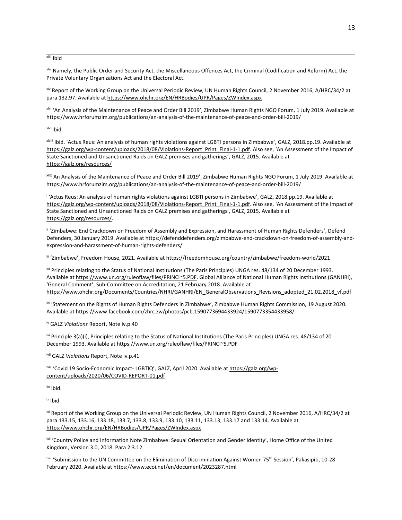<sup>xliii</sup> Ibid

xliv Namely, the Public Order and Security Act, the Miscellaneous Offences Act, the Criminal (Codification and Reform) Act, the Private Voluntary Organizations Act and the Electoral Act.

xlv Report of the Working Group on the Universal Periodic Review, UN Human Rights Council, 2 November 2016, A/HRC/34/2 at para 132.97. Available at <https://www.ohchr.org/EN/HRBodies/UPR/Pages/ZWIndex.aspx>

xlvi 'An Analysis of the Maintenance of Peace and Order Bill 2019', Zimbabwe Human Rights NGO Forum, 1 July 2019. Available at https://www.hrforumzim.org/publications/an-analysis-of-the-maintenance-of-peace-and-order-bill-2019/

<sup>xlvii</sup>lbid.

xlviii Ibid. 'Actus Reus: An analysis of human rights violations against LGBTI persons in Zimbabwe', GALZ, 2018.pp.19. Available at [https://galz.org/wp-content/uploads/2018/08/Violations-Report\\_Print\\_Final-1-1.pdf](https://galz.org/wp-content/uploads/2018/08/Violations-Report_Print_Final-1-1.pdf). Also see, 'An Assessment of the Impact of State Sanctioned and Unsanctioned Raids on GALZ premises and gatherings', GALZ, 2015. Available at <https://galz.org/resources/>

xlix An Analysis of the Maintenance of Peace and Order Bill 2019', Zimbabwe Human Rights NGO Forum, 1 July 2019. Available at https://www.hrforumzim.org/publications/an-analysis-of-the-maintenance-of-peace-and-order-bill-2019/

l 'Actus Reus: An analysis of human rights violations against LGBTI persons in Zimbabwe', GALZ, 2018.pp.19. Available at [https://galz.org/wp-content/uploads/2018/08/Violations-Report\\_Print\\_Final-1-1.pdf](https://galz.org/wp-content/uploads/2018/08/Violations-Report_Print_Final-1-1.pdf). Also see, 'An Assessment of the Impact of State Sanctioned and Unsanctioned Raids on GALZ premises and gatherings', GALZ, 2015. Available at <https://galz.org/resources/>.

li 'Zimbabwe: End Crackdown on Freedom of Assembly and Expression, and Harassment of Human Rights Defenders', Defend Defenders, 30 January 2019. Available at https://defenddefenders.org/zimbabwe-end-crackdown-on-freedom-of-assembly-andexpression-and-harassment-of-human-rights-defenders/

lii 'Zimbabwe', Freedom House, 2021. Available at https://freedomhouse.org/country/zimbabwe/freedom-world/2021

IIII Principles relating to the Status of National Institutions (The Paris Principles) UNGA res. 48/134 of 20 December 1993. Available at <https://www.un.org/ruleoflaw/files/PRINCI~5.PDF>. Global Alliance of National Human Rights Institutions (GANHRI), 'General Comment', Sub-Committee on Accreditation, 21 February 2018. Available at https://www.ohchr.org/Documents/Countries/NHRI/GANHRI/EN GeneralObservations\_Revisions\_adopted\_21.02.2018\_vf.pdf

liv 'Statement on the Rights of Human Rights Defenders in Zimbabwe', Zimbabwe Human Rights Commission, 19 August 2020. Available at https://www.facebook.com/zhrc.zw/photos/pcb.1590773694433924/1590773354433958/

<sup>lv</sup> GALZ *Violations* Report, Note iv.p.40

<sup>vi</sup> Principle 3(a)(i), Principles relating to the Status of National Institutions (The Paris Principles) UNGA res. 48/134 of 20 December 1993. Available at https://www.un.org/ruleoflaw/files/PRINCI~5.PDF

lvii GALZ *Violations* Report, Note iv.p.41

<sup>viii</sup> 'Covid 19 Socio-Economic Impact- LGBTIQ', GALZ, April 2020. Available at [https://galz.org/wp](https://galz.org/wp-content/uploads/2020/06/COVID-REPORT-01.pdf)[content/uploads/2020/06/COVID-REPORT-01.pdf](https://galz.org/wp-content/uploads/2020/06/COVID-REPORT-01.pdf)

<sup>lix</sup> Ibid.

lx Ibid.

<sup>xi</sup> Report of the Working Group on the Universal Periodic Review, UN Human Rights Council, 2 November 2016, A/HRC/34/2 at para 133.15, 133.16, 133.18, 133.7, 133.8, 133.9, 133.10, 133.11, 133.13, 133.17 and 133.14. Available at <https://www.ohchr.org/EN/HRBodies/UPR/Pages/ZWIndex.aspx>

<sup>xii</sup> 'Country Police and Information Note Zimbabwe: Sexual Orientation and Gender Identity', Home Office of the United Kingdom, Version 3.0, 2018. Para 2.3.12

<sup>xiii</sup> 'Submission to the UN Committee on the Elimination of Discrimination Against Women 75<sup>th</sup> Session', Pakasipiti, 10-28 February 2020. Available at <https://www.ecoi.net/en/document/2023287.html>